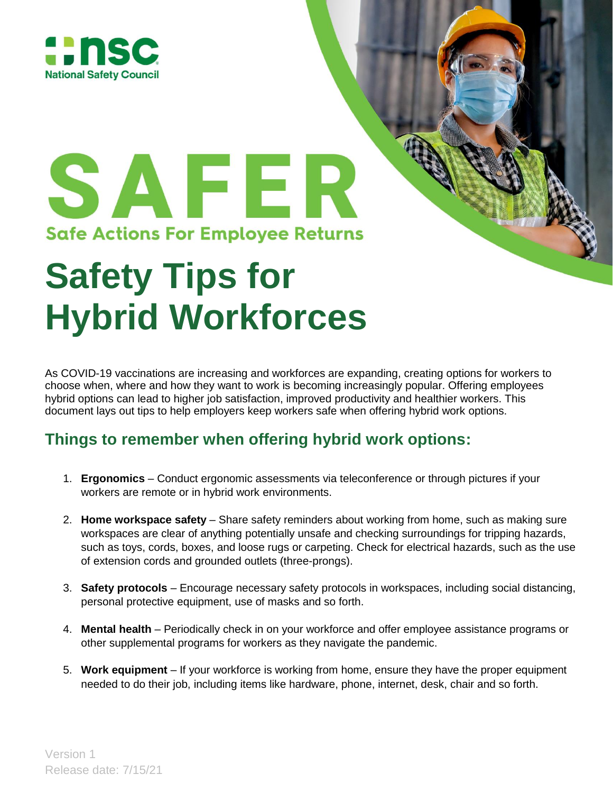



## **Safety Tips for Hybrid Workforces**

As COVID-19 vaccinations are increasing and workforces are expanding, creating options for workers to choose when, where and how they want to work is becoming increasingly popular. Offering employees hybrid options can lead to higher job satisfaction, improved productivity and healthier workers. This document lays out tips to help employers keep workers safe when offering hybrid work options.

## **Things to remember when offering hybrid work options:**

- 1. **Ergonomics** Conduct ergonomic assessments via teleconference or through pictures if your workers are remote or in hybrid work environments.
- 2. **Home workspace safety** Share safety reminders about working from home, such as making sure workspaces are clear of anything potentially unsafe and checking surroundings for tripping hazards, such as toys, cords, boxes, and loose rugs or carpeting. Check for electrical hazards, such as the use of extension cords and grounded outlets (three-prongs).
- 3. **Safety protocols** Encourage necessary safety protocols in workspaces, including social distancing, personal protective equipment, use of masks and so forth.
- 4. **Mental health** Periodically check in on your workforce and offer employee assistance programs or other supplemental programs for workers as they navigate the pandemic.
- 5. **Work equipment** If your workforce is working from home, ensure they have the proper equipment needed to do their job, including items like hardware, phone, internet, desk, chair and so forth.